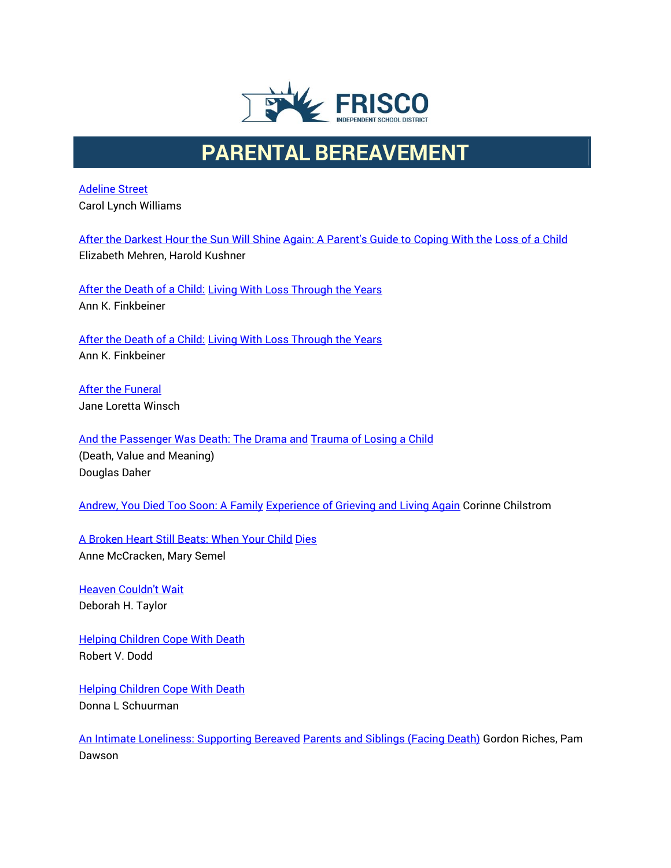

## **PARENTAL BEREAVEMENT**

[Adeline Street](http://www.amazon.com/exec/obidos/ASIN/0440412064/griefnet) Carol Lynch Williams

After the Darkest [Hour the Sun Will Shine](http://www.amazon.com/exec/obidos/ASIN/0684811707/griefnet) [Again: A Parent's Guide to](http://www.amazon.com/exec/obidos/ASIN/0684811707/griefnet) Coping With the [Loss of](http://www.amazon.com/exec/obidos/ASIN/0684811707/griefnet) a Child Elizabeth Mehren, Harold Kushner

[After the Death of a Child:](http://www.amazon.com/exec/obidos/ASIN/0684829657/griefnet) [Living With Loss Through the Years](http://www.amazon.com/exec/obidos/ASIN/0684829657/griefnet) Ann K. Finkbeiner

[After the Death of a Child:](http://www.amazon.com/exec/obidos/ASIN/080185914X/griefnet) [Living With Loss Through the Years](http://www.amazon.com/exec/obidos/ASIN/080185914X/griefnet) Ann K. Finkbeiner

[After the Funeral](http://www.amazon.com/exec/obidos/ASIN/0809166259/griefnet) Jane Loretta Winsch

[And the Passenger Was Death:](http://www.amazon.com/exec/obidos/ASIN/0895032449/griefnet) The Drama and [Trauma of Losing a Child](http://www.amazon.com/exec/obidos/ASIN/0895032449/griefnet) (Death, Value and Meaning) Douglas Daher

[Andrew, You Died Too Soon: A Family](http://www.amazon.com/exec/obidos/ASIN/0806626844/griefnet) Experience of [Grieving and Living Again](http://www.amazon.com/exec/obidos/ASIN/0806626844/griefnet) Corinne Chilstrom

[A Broken Heart Still Beats:](http://www.amazon.com/exec/obidos/ASIN/1568382014/griefnet) When Your Child [Dies](http://www.amazon.com/exec/obidos/ASIN/1568382014/griefnet) Anne McCracken, Mary Semel

[Heaven Couldn't Wait](http://www.amazon.com/exec/obidos/ASIN/1582441049/griefnet) Deborah H. Taylor

[Helping Children Cope With Death](http://www.amazon.com/exec/obidos/ASIN/0836133684/griefnet) Robert V. Dodd

[Helping Children Cope With Death](http://www.amazon.com/exec/obidos/ASIN/1890534005/griefnet) Donna L Schuurman

[An Intimate Loneliness: Supporting Bereaved](http://www.amazon.com/exec/obidos/ASIN/0335199720/griefnet) [Parents and Siblings \(Facing Death\)](http://www.amazon.com/exec/obidos/ASIN/0335199720/griefnet) Gordon Riches, Pam Dawson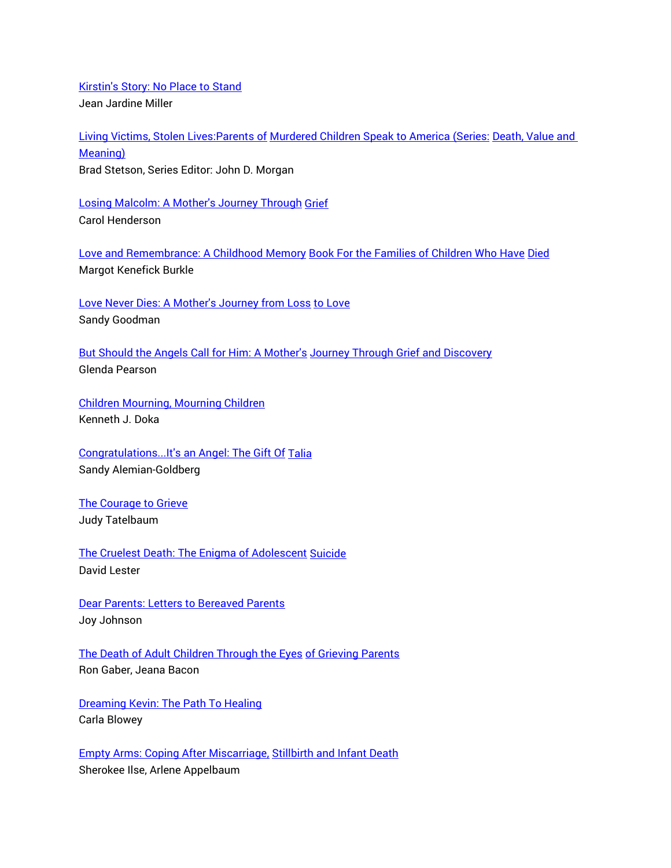[Kirstin's Story: No Place to](http://www.amazon.com/exec/obidos/ASIN/0973137630/griefnet) Stand Jean Jardine Miller

[Living Victims, Stolen Lives:Parents of](http://www.amazon.com/exec/obidos/ASIN/0895032295/griefnet) [Murdered Children Speak to America \(Series:](http://www.amazon.com/exec/obidos/ASIN/0895032295/griefnet) [Death, Value](http://www.amazon.com/exec/obidos/ASIN/0895032295/griefnet) and [Meaning\)](http://www.amazon.com/exec/obidos/ASIN/0895032295/griefnet) Brad Stetson, Series Editor: John D. Morgan

Losing [Malcolm: A Mother's Journey](http://www.amazon.com/exec/obidos/ASIN/1578063396/griefnet) Through [Grief](http://www.amazon.com/exec/obidos/ASIN/1578063396/griefnet) Carol Henderson

Love and [Remembrance:](http://www.amazon.com/exec/obidos/ASIN/1561231045/griefnet) A Childhood Memory Book For the Families [of Children Who](http://www.amazon.com/exec/obidos/ASIN/1561231045/griefnet) Have [Died](http://www.amazon.com/exec/obidos/ASIN/1561231045/griefnet) Margot Kenefick Burkle

[Love Never Dies: A Mother's Journey from Loss](http://griefnet.org/bookstore/sandygoodmanorder.html) [to Love](http://griefnet.org/bookstore/sandygoodmanorder.html) Sandy Goodman

[But Should the Angels Call](http://www.amazon.com/exec/obidos/ASIN/1413418619/griefnet) for Him: A Mother's Journey [Through Grief and Discovery](http://www.amazon.com/exec/obidos/ASIN/1413418619/griefnet) Glenda Pearson

[Children Mourning, Mourning Children](http://www.amazon.com/exec/obidos/ASIN/1560324473/griefnet) Kenneth J. Doka

[Congratulations...It's an Angel: The Gift](http://www.amazon.com/exec/obidos/ASIN/0967206502/griefnet) Of [Talia](http://www.amazon.com/exec/obidos/ASIN/0967206502/griefnet) Sandy Alemian-Goldberg

[The Courage](http://www.amazon.com/exec/obidos/ASIN/0060911859/griefnet) to Grieve Judy Tatelbaum

The Cruelest Death: The [Enigma of Adolescent](http://www.amazon.com/exec/obidos/ASIN/0914783645/griefnet) [Suicide](http://www.amazon.com/exec/obidos/ASIN/0914783645/griefnet) David Lester

Dear Parents: Letters to Bereaved Parents Joy Johnson

The Death of [Adult Children Through the Eyes](http://www.amazon.com/exec/obidos/ASIN/0967133300/griefnet) [of Grieving Parents](http://www.amazon.com/exec/obidos/ASIN/0967133300/griefnet) Ron Gaber, Jeana Bacon

[Dreaming Kevin: The Path](http://www.amazon.com/exec/obidos/ASIN/0741410036/griefnet) To Healing Carla Blowey

Empty Arms: [Coping After Miscarriage,](http://www.amazon.com/exec/obidos/ts/book-similarities/0960945660/griefnet/) [Stillbirth and](http://www.amazon.com/exec/obidos/ts/book-similarities/0960945660/griefnet/) Infant Death Sherokee Ilse, Arlene Appelbaum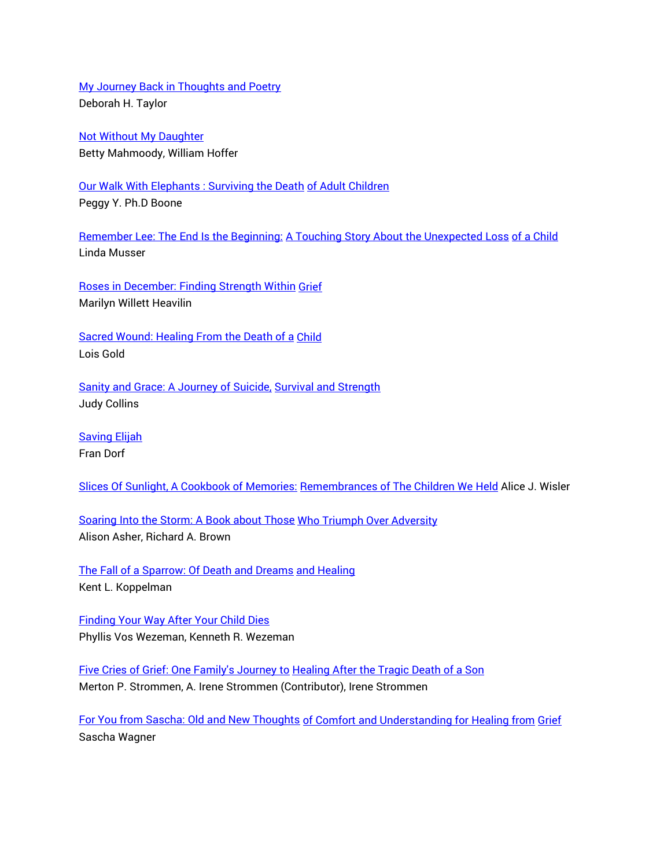[My Journey Back in Thoughts and Poetry](http://www.amazon.com/exec/obidos/ASIN/1582441316/griefnet) Deborah H. Taylor

Not Without [My Daughter](http://www.amazon.com/exec/obidos/ASIN/0312925883/griefnet) Betty Mahmoody, William Hoffer

Our Walk With Elephants : [Surviving the Death](http://www.amazon.com/exec/obidos/ASIN/1413703216/griefnet) [of Adult Children](http://www.amazon.com/exec/obidos/ASIN/1413703216/griefnet) Peggy Y. Ph.D Boone

Remember Lee: The [End Is the Beginning:](http://www.amazon.com/exec/obidos/ASIN/1561230200/griefnet) [A Touching Story About](http://www.amazon.com/exec/obidos/ASIN/1561230200/griefnet) the Unexpected Loss [of a Child](http://www.amazon.com/exec/obidos/ASIN/1561230200/griefnet) Linda Musser

[Roses in December: Finding Strength Within](http://www.amazon.com/exec/obidos/ASIN/1565078586/griefnet) [Grief](http://www.amazon.com/exec/obidos/ASIN/1565078586/griefnet) Marilyn Willett Heavilin

[Sacred Wound: Healing From the Death](http://www.amazon.com/exec/obidos/ASIN/193078211X/griefnet) of a [Child](http://www.amazon.com/exec/obidos/ASIN/193078211X/griefnet) Lois Gold

[Sanity and Grace: A Journey of Suicide,](http://www.amazon.com/exec/obidos/ASIN/1585422606/griefnet) [Survival and](http://www.amazon.com/exec/obidos/ASIN/1585422606/griefnet) Strength Judy Collins

[Saving Elijah](http://www.amazon.com/exec/obidos/ASIN/039914630X/griefnet) Fran Dorf

[Slices Of Sunlight, A Cookbook of](http://www.amazon.com/exec/obidos/ASIN/0967674026/griefnet) Memories: Remembrances of [The Children We Held](http://www.amazon.com/exec/obidos/ASIN/0967674026/griefnet) Alice J. Wisler

[Soaring Into the Storm: A](http://www.amazon.com/exec/obidos/ASIN/1887703004/griefnet) Book about Those Who Triumph [Over Adversity](http://www.amazon.com/exec/obidos/ASIN/1887703004/griefnet) Alison Asher, Richard A. Brown

[The Fall of a](http://www.amazon.com/exec/obidos/ts/book-similarities/0895031574/griefnet/) Sparrow: Of Death and Dreams [and Healing](http://www.amazon.com/exec/obidos/ts/book-similarities/0895031574/griefnet/) Kent L. Koppelman

[Finding Your Way After Your Child Dies](http://www.amazon.com/exec/obidos/ASIN/0877937001/griefnet) Phyllis Vos Wezeman, Kenneth R. Wezeman

Five Cries of [Grief: One Family's Journey to](http://www.amazon.com/exec/obidos/ASIN/0806629878/griefnet) Healing After [the Tragic Death of](http://www.amazon.com/exec/obidos/ASIN/0806629878/griefnet) a Son Merton P. Strommen, A. Irene Strommen (Contributor), Irene Strommen

For You from [Sascha: Old and New Thoughts](http://www.amazon.com/exec/obidos/ASIN/1893652181/griefnet) of Comfort [and Understanding for Healing from](http://www.amazon.com/exec/obidos/ASIN/1893652181/griefnet) [Grief](http://www.amazon.com/exec/obidos/ASIN/1893652181/griefnet) Sascha Wagner